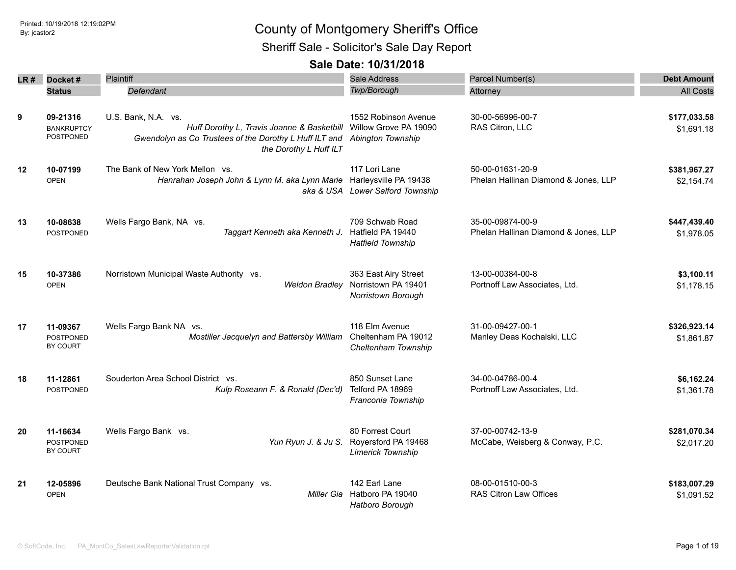Sheriff Sale - Solicitor's Sale Day Report

| LR # | Docket#                                           | Plaintiff                                                                                                                                                                   | Sale Address                                                      | Parcel Number(s)                                         | <b>Debt Amount</b>         |
|------|---------------------------------------------------|-----------------------------------------------------------------------------------------------------------------------------------------------------------------------------|-------------------------------------------------------------------|----------------------------------------------------------|----------------------------|
|      | <b>Status</b>                                     | Defendant                                                                                                                                                                   | Twp/Borough                                                       | Attorney                                                 | <b>All Costs</b>           |
| 9    | 09-21316<br><b>BANKRUPTCY</b><br><b>POSTPONED</b> | U.S. Bank, N.A. vs.<br>Huff Dorothy L, Travis Joanne & Basketbill Willow Grove PA 19090<br>Gwendolyn as Co Trustees of the Dorothy L Huff ILT and<br>the Dorothy L Huff ILT | 1552 Robinson Avenue<br><b>Abington Township</b>                  | 30-00-56996-00-7<br>RAS Citron, LLC                      | \$177,033.58<br>\$1,691.18 |
| 12   | 10-07199<br><b>OPEN</b>                           | The Bank of New York Mellon vs.<br>Hanrahan Joseph John & Lynn M. aka Lynn Marie Harleysville PA 19438                                                                      | 117 Lori Lane<br>aka & USA Lower Salford Township                 | 50-00-01631-20-9<br>Phelan Hallinan Diamond & Jones, LLP | \$381,967.27<br>\$2,154.74 |
| 13   | 10-08638<br><b>POSTPONED</b>                      | Wells Fargo Bank, NA vs.<br>Taggart Kenneth aka Kenneth J.                                                                                                                  | 709 Schwab Road<br>Hatfield PA 19440<br><b>Hatfield Township</b>  | 35-00-09874-00-9<br>Phelan Hallinan Diamond & Jones, LLP | \$447,439.40<br>\$1,978.05 |
| 15   | 10-37386<br><b>OPEN</b>                           | Norristown Municipal Waste Authority vs.<br><b>Weldon Bradley</b>                                                                                                           | 363 East Airy Street<br>Norristown PA 19401<br>Norristown Borough | 13-00-00384-00-8<br>Portnoff Law Associates, Ltd.        | \$3,100.11<br>\$1,178.15   |
| 17   | 11-09367<br>POSTPONED<br>BY COURT                 | Wells Fargo Bank NA vs.<br>Mostiller Jacquelyn and Battersby William                                                                                                        | 118 Elm Avenue<br>Cheltenham PA 19012<br>Cheltenham Township      | 31-00-09427-00-1<br>Manley Deas Kochalski, LLC           | \$326,923.14<br>\$1,861.87 |
| 18   | 11-12861<br><b>POSTPONED</b>                      | Souderton Area School District vs.<br>Kulp Roseann F. & Ronald (Dec'd)                                                                                                      | 850 Sunset Lane<br>Telford PA 18969<br>Franconia Township         | 34-00-04786-00-4<br>Portnoff Law Associates, Ltd.        | \$6,162.24<br>\$1,361.78   |
| 20   | 11-16634<br><b>POSTPONED</b><br>BY COURT          | Wells Fargo Bank vs.<br>Yun Ryun J. & Ju S.                                                                                                                                 | 80 Forrest Court<br>Royersford PA 19468<br>Limerick Township      | 37-00-00742-13-9<br>McCabe, Weisberg & Conway, P.C.      | \$281,070.34<br>\$2,017.20 |
| 21   | 12-05896<br><b>OPEN</b>                           | Deutsche Bank National Trust Company vs.                                                                                                                                    | 142 Earl Lane<br>Miller Gia Hatboro PA 19040<br>Hatboro Borough   | 08-00-01510-00-3<br>RAS Citron Law Offices               | \$183,007.29<br>\$1,091.52 |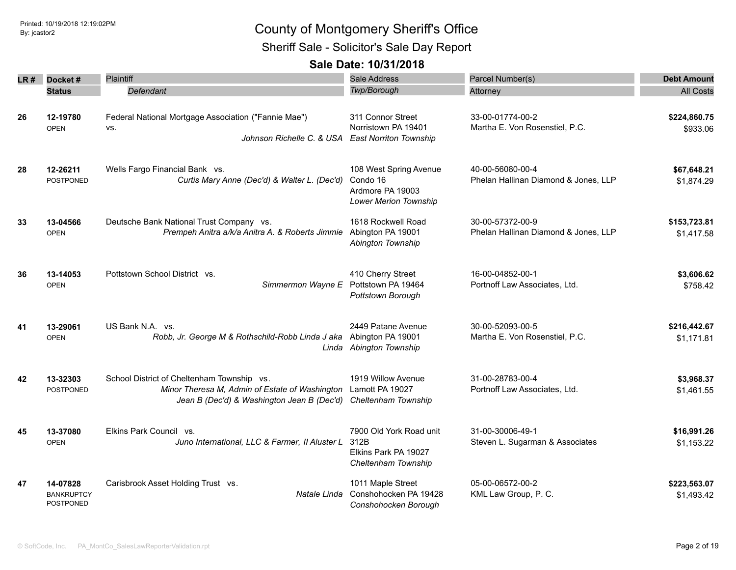Sheriff Sale - Solicitor's Sale Day Report

| LR # | Docket#                        | Plaintiff                                                                                                        | Sale Address                                          | Parcel Number(s)                                   | <b>Debt Amount</b> |
|------|--------------------------------|------------------------------------------------------------------------------------------------------------------|-------------------------------------------------------|----------------------------------------------------|--------------------|
|      | <b>Status</b>                  | Defendant                                                                                                        | Twp/Borough                                           | Attorney                                           | <b>All Costs</b>   |
|      |                                |                                                                                                                  |                                                       |                                                    |                    |
| 26   | 12-19780                       | Federal National Mortgage Association ("Fannie Mae")                                                             | 311 Connor Street<br>Norristown PA 19401              | 33-00-01774-00-2<br>Martha E. Von Rosenstiel, P.C. | \$224,860.75       |
|      | <b>OPEN</b>                    | VS.<br>Johnson Richelle C. & USA East Norriton Township                                                          |                                                       |                                                    | \$933.06           |
| 28   | 12-26211                       | Wells Fargo Financial Bank vs.                                                                                   | 108 West Spring Avenue                                | 40-00-56080-00-4                                   | \$67,648.21        |
|      | POSTPONED                      | Curtis Mary Anne (Dec'd) & Walter L. (Dec'd)                                                                     | Condo 16<br>Ardmore PA 19003<br>Lower Merion Township | Phelan Hallinan Diamond & Jones, LLP               | \$1,874.29         |
| 33   | 13-04566                       | Deutsche Bank National Trust Company vs.                                                                         | 1618 Rockwell Road                                    | 30-00-57372-00-9                                   | \$153,723.81       |
|      | <b>OPEN</b>                    | Prempeh Anitra a/k/a Anitra A. & Roberts Jimmie                                                                  | Abington PA 19001<br>Abington Township                | Phelan Hallinan Diamond & Jones, LLP               | \$1,417.58         |
| 36   | 13-14053                       | Pottstown School District vs.                                                                                    | 410 Cherry Street                                     | 16-00-04852-00-1                                   | \$3,606.62         |
|      | <b>OPEN</b>                    | Simmermon Wayne E                                                                                                | Pottstown PA 19464<br>Pottstown Borough               | Portnoff Law Associates, Ltd.                      | \$758.42           |
| 41   | 13-29061                       | US Bank N.A. vs.                                                                                                 | 2449 Patane Avenue                                    | 30-00-52093-00-5                                   | \$216,442.67       |
|      | <b>OPEN</b>                    | Robb, Jr. George M & Rothschild-Robb Linda J aka Abington PA 19001                                               | Linda Abington Township                               | Martha E. Von Rosenstiel, P.C.                     | \$1,171.81         |
| 42   | 13-32303                       | School District of Cheltenham Township vs.                                                                       | 1919 Willow Avenue                                    | 31-00-28783-00-4                                   | \$3,968.37         |
|      | POSTPONED                      | Minor Theresa M, Admin of Estate of Washington<br>Jean B (Dec'd) & Washington Jean B (Dec'd) Cheltenham Township | Lamott PA 19027                                       | Portnoff Law Associates, Ltd.                      | \$1,461.55         |
| 45   | 13-37080                       | Elkins Park Council vs.                                                                                          | 7900 Old York Road unit                               | 31-00-30006-49-1                                   | \$16,991.26        |
|      | <b>OPEN</b>                    | Juno International, LLC & Farmer, II Aluster L                                                                   | 312B<br>Elkins Park PA 19027<br>Cheltenham Township   | Steven L. Sugarman & Associates                    | \$1,153.22         |
| 47   | 14-07828                       | Carisbrook Asset Holding Trust vs.                                                                               | 1011 Maple Street                                     | 05-00-06572-00-2                                   | \$223,563.07       |
|      | <b>BANKRUPTCY</b><br>POSTPONED | Natale Linda                                                                                                     | Conshohocken PA 19428<br>Conshohocken Borouah         | KML Law Group, P. C.                               | \$1,493.42         |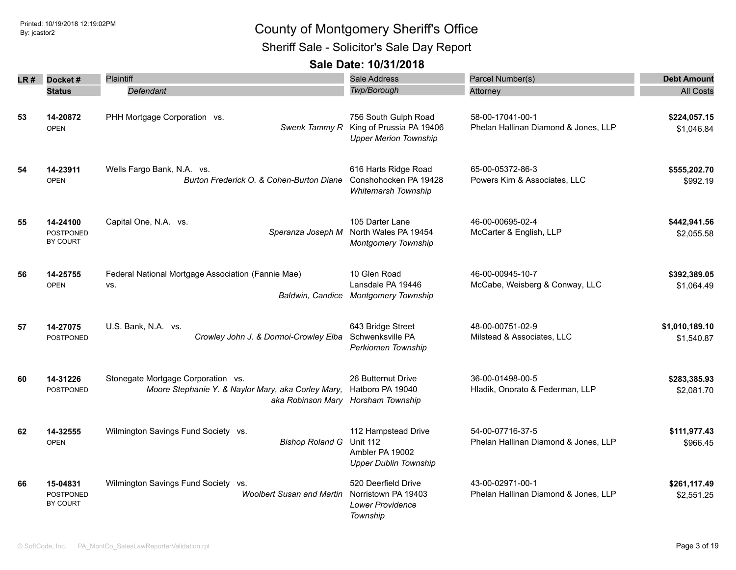Sheriff Sale - Solicitor's Sale Day Report

| LR# | Docket#                                  | Plaintiff                                                                                | Sale Address                                                                              | Parcel Number(s)                                         | <b>Debt Amount</b>           |
|-----|------------------------------------------|------------------------------------------------------------------------------------------|-------------------------------------------------------------------------------------------|----------------------------------------------------------|------------------------------|
|     | <b>Status</b>                            | Defendant                                                                                | <b>Twp/Borough</b>                                                                        | Attorney                                                 | <b>All Costs</b>             |
| 53  | 14-20872<br><b>OPEN</b>                  | PHH Mortgage Corporation vs.<br>Swenk Tammy R                                            | 756 South Gulph Road<br>King of Prussia PA 19406<br><b>Upper Merion Township</b>          | 58-00-17041-00-1<br>Phelan Hallinan Diamond & Jones, LLP | \$224,057.15<br>\$1,046.84   |
| 54  | 14-23911<br><b>OPEN</b>                  | Wells Fargo Bank, N.A. vs.<br>Burton Frederick O. & Cohen-Burton Diane                   | 616 Harts Ridge Road<br>Conshohocken PA 19428<br><b>Whitemarsh Township</b>               | 65-00-05372-86-3<br>Powers Kirn & Associates, LLC        | \$555,202.70<br>\$992.19     |
| 55  | 14-24100<br><b>POSTPONED</b><br>BY COURT | Capital One, N.A. vs.<br>Speranza Joseph M                                               | 105 Darter Lane<br>North Wales PA 19454<br><b>Montgomery Township</b>                     | 46-00-00695-02-4<br>McCarter & English, LLP              | \$442,941.56<br>\$2,055.58   |
| 56  | 14-25755<br><b>OPEN</b>                  | Federal National Mortgage Association (Fannie Mae)<br>VS.                                | 10 Glen Road<br>Lansdale PA 19446<br>Baldwin, Candice Montgomery Township                 | 46-00-00945-10-7<br>McCabe, Weisberg & Conway, LLC       | \$392,389.05<br>\$1,064.49   |
| 57  | 14-27075<br><b>POSTPONED</b>             | U.S. Bank, N.A. vs.<br>Crowley John J. & Dormoi-Crowley Elba                             | 643 Bridge Street<br>Schwenksville PA<br>Perkiomen Township                               | 48-00-00751-02-9<br>Milstead & Associates, LLC           | \$1,010,189.10<br>\$1,540.87 |
| 60  | 14-31226<br>POSTPONED                    | Stonegate Mortgage Corporation vs.<br>Moore Stephanie Y. & Naylor Mary, aka Corley Mary, | 26 Butternut Drive<br>Hatboro PA 19040<br>aka Robinson Mary Horsham Township              | 36-00-01498-00-5<br>Hladik, Onorato & Federman, LLP      | \$283,385.93<br>\$2,081.70   |
| 62  | 14-32555<br><b>OPEN</b>                  | Wilmington Savings Fund Society vs.<br><b>Bishop Roland G</b>                            | 112 Hampstead Drive<br><b>Unit 112</b><br>Ambler PA 19002<br><b>Upper Dublin Township</b> | 54-00-07716-37-5<br>Phelan Hallinan Diamond & Jones, LLP | \$111,977.43<br>\$966.45     |
| 66  | 15-04831<br><b>POSTPONED</b><br>BY COURT | Wilmington Savings Fund Society vs.<br><b>Woolbert Susan and Martin</b>                  | 520 Deerfield Drive<br>Norristown PA 19403<br>Lower Providence<br>Township                | 43-00-02971-00-1<br>Phelan Hallinan Diamond & Jones, LLP | \$261,117.49<br>\$2,551.25   |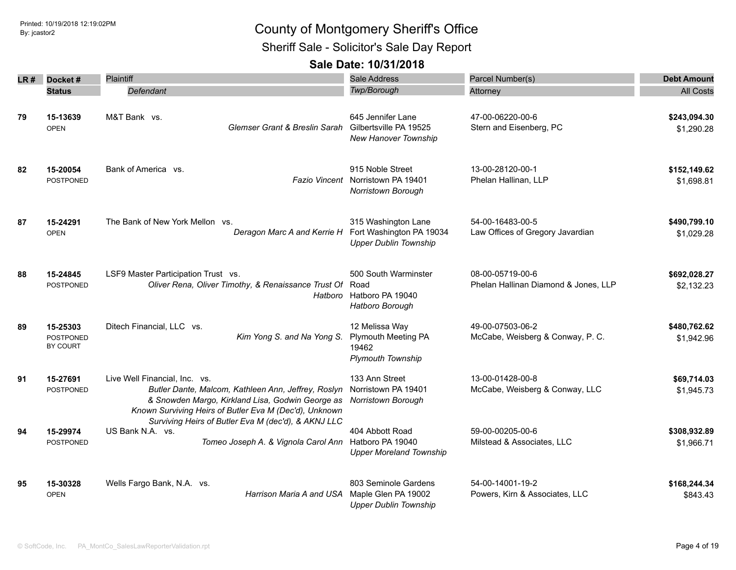Sheriff Sale - Solicitor's Sale Day Report

| LR# | Docket#                                  | Plaintiff                                                                                                                                                                                          | Sale Address                                                                      | Parcel Number(s)                                         | <b>Debt Amount</b>         |
|-----|------------------------------------------|----------------------------------------------------------------------------------------------------------------------------------------------------------------------------------------------------|-----------------------------------------------------------------------------------|----------------------------------------------------------|----------------------------|
|     | <b>Status</b>                            | Defendant                                                                                                                                                                                          | Twp/Borough                                                                       | Attorney                                                 | <b>All Costs</b>           |
| 79  | 15-13639<br><b>OPEN</b>                  | M&T Bank vs.<br>Glemser Grant & Breslin Sarah                                                                                                                                                      | 645 Jennifer Lane<br>Gilbertsville PA 19525<br><b>New Hanover Township</b>        | 47-00-06220-00-6<br>Stern and Eisenberg, PC              | \$243,094.30<br>\$1,290.28 |
| 82  | 15-20054<br><b>POSTPONED</b>             | Bank of America vs.                                                                                                                                                                                | 915 Noble Street<br>Fazio Vincent Norristown PA 19401<br>Norristown Borough       | 13-00-28120-00-1<br>Phelan Hallinan, LLP                 | \$152,149.62<br>\$1,698.81 |
| 87  | 15-24291<br><b>OPEN</b>                  | The Bank of New York Mellon vs.<br>Deragon Marc A and Kerrie H                                                                                                                                     | 315 Washington Lane<br>Fort Washington PA 19034<br><b>Upper Dublin Township</b>   | 54-00-16483-00-5<br>Law Offices of Gregory Javardian     | \$490,799.10<br>\$1,029.28 |
| 88  | 15-24845<br>POSTPONED                    | LSF9 Master Participation Trust vs.<br>Oliver Rena, Oliver Timothy, & Renaissance Trust Of<br>Hatboro                                                                                              | 500 South Warminster<br>Road<br>Hatboro PA 19040<br>Hatboro Borough               | 08-00-05719-00-6<br>Phelan Hallinan Diamond & Jones, LLP | \$692,028.27<br>\$2,132.23 |
| 89  | 15-25303<br><b>POSTPONED</b><br>BY COURT | Ditech Financial, LLC vs.<br>Kim Yong S. and Na Yong S.                                                                                                                                            | 12 Melissa Way<br><b>Plymouth Meeting PA</b><br>19462<br><b>Plymouth Township</b> | 49-00-07503-06-2<br>McCabe, Weisberg & Conway, P. C.     | \$480,762.62<br>\$1,942.96 |
| 91  | 15-27691<br><b>POSTPONED</b>             | Live Well Financial, Inc. vs.<br>Butler Dante, Malcom, Kathleen Ann, Jeffrey, Roslyn<br>& Snowden Margo, Kirkland Lisa, Godwin George as<br>Known Surviving Heirs of Butler Eva M (Dec'd), Unknown | 133 Ann Street<br>Norristown PA 19401<br>Norristown Borough                       | 13-00-01428-00-8<br>McCabe, Weisberg & Conway, LLC       | \$69,714.03<br>\$1,945.73  |
| 94  | 15-29974<br><b>POSTPONED</b>             | Surviving Heirs of Butler Eva M (dec'd), & AKNJ LLC<br>US Bank N.A. vs.<br>Tomeo Joseph A. & Vignola Carol Ann                                                                                     | 404 Abbott Road<br>Hatboro PA 19040<br><b>Upper Moreland Township</b>             | 59-00-00205-00-6<br>Milstead & Associates, LLC           | \$308,932.89<br>\$1,966.71 |
| 95  | 15-30328<br><b>OPEN</b>                  | Wells Fargo Bank, N.A. vs.<br>Harrison Maria A and USA                                                                                                                                             | 803 Seminole Gardens<br>Maple Glen PA 19002<br><b>Upper Dublin Township</b>       | 54-00-14001-19-2<br>Powers, Kirn & Associates, LLC       | \$168,244.34<br>\$843.43   |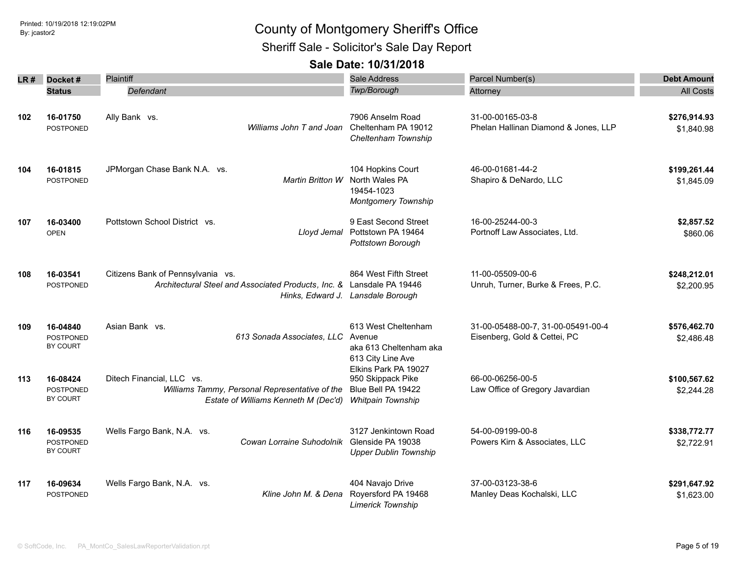Printed: 10/19/2018 12:19:02PM

## Printed: 10/19/2018 12:19:02PM By: jcastor2 County of Montgomery Sheriff's Office

Sheriff Sale - Solicitor's Sale Day Report

| LR # | Docket#                                  | Plaintiff                                                                                                           | Sale Address                                                                         | Parcel Number(s)                                                   | <b>Debt Amount</b>         |
|------|------------------------------------------|---------------------------------------------------------------------------------------------------------------------|--------------------------------------------------------------------------------------|--------------------------------------------------------------------|----------------------------|
|      | <b>Status</b>                            | <b>Defendant</b>                                                                                                    | <b>Twp/Borough</b>                                                                   | Attorney                                                           | <b>All Costs</b>           |
| 102  | 16-01750<br><b>POSTPONED</b>             | Ally Bank vs.<br>Williams John T and Joan                                                                           | 7906 Anselm Road<br>Cheltenham PA 19012<br>Cheltenham Township                       | 31-00-00165-03-8<br>Phelan Hallinan Diamond & Jones, LLP           | \$276,914.93<br>\$1,840.98 |
| 104  | 16-01815<br><b>POSTPONED</b>             | JPMorgan Chase Bank N.A. vs.<br>Martin Britton W                                                                    | 104 Hopkins Court<br>North Wales PA<br>19454-1023<br><b>Montgomery Township</b>      | 46-00-01681-44-2<br>Shapiro & DeNardo, LLC                         | \$199,261.44<br>\$1,845.09 |
| 107  | 16-03400<br><b>OPEN</b>                  | Pottstown School District vs.<br>Lloyd Jemal                                                                        | 9 East Second Street<br>Pottstown PA 19464<br>Pottstown Borough                      | 16-00-25244-00-3<br>Portnoff Law Associates, Ltd.                  | \$2,857.52<br>\$860.06     |
| 108  | 16-03541<br><b>POSTPONED</b>             | Citizens Bank of Pennsylvania vs.<br>Architectural Steel and Associated Products, Inc. & Lansdale PA 19446          | 864 West Fifth Street<br>Hinks, Edward J. Lansdale Borough                           | 11-00-05509-00-6<br>Unruh, Turner, Burke & Frees, P.C.             | \$248,212.01<br>\$2,200.95 |
| 109  | 16-04840<br><b>POSTPONED</b><br>BY COURT | Asian Bank vs.<br>613 Sonada Associates, LLC                                                                        | 613 West Cheltenham<br>Avenue<br>aka 613 Cheltenham aka<br>613 City Line Ave         | 31-00-05488-00-7, 31-00-05491-00-4<br>Eisenberg, Gold & Cettei, PC | \$576,462.70<br>\$2,486.48 |
| 113  | 16-08424<br><b>POSTPONED</b><br>BY COURT | Ditech Financial, LLC vs.<br>Williams Tammy, Personal Representative of the<br>Estate of Williams Kenneth M (Dec'd) | Elkins Park PA 19027<br>950 Skippack Pike<br>Blue Bell PA 19422<br>Whitpain Township | 66-00-06256-00-5<br>Law Office of Gregory Javardian                | \$100,567.62<br>\$2,244.28 |
| 116  | 16-09535<br><b>POSTPONED</b><br>BY COURT | Wells Fargo Bank, N.A. vs.<br>Cowan Lorraine Suhodolnik                                                             | 3127 Jenkintown Road<br>Glenside PA 19038<br><b>Upper Dublin Township</b>            | 54-00-09199-00-8<br>Powers Kirn & Associates, LLC                  | \$338,772.77<br>\$2,722.91 |
| 117  | 16-09634<br><b>POSTPONED</b>             | Wells Fargo Bank, N.A. vs.<br>Kline John M. & Dena                                                                  | 404 Navajo Drive<br>Royersford PA 19468<br><b>Limerick Township</b>                  | 37-00-03123-38-6<br>Manley Deas Kochalski, LLC                     | \$291,647.92<br>\$1,623.00 |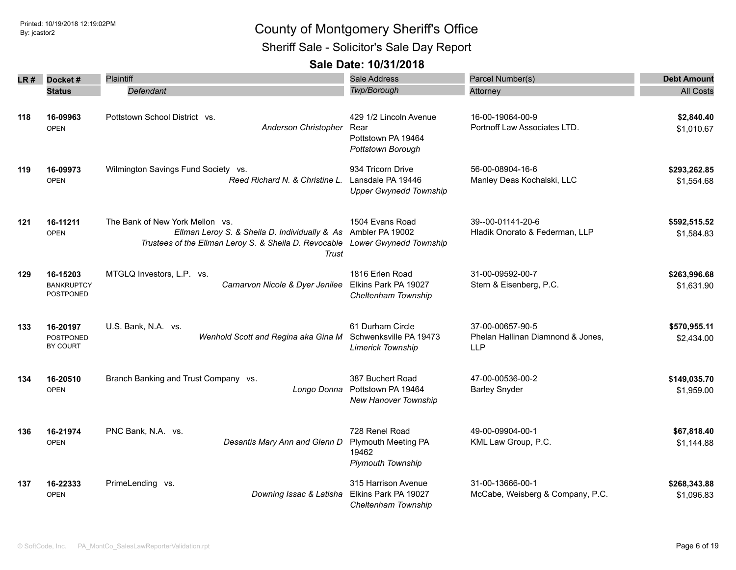Sheriff Sale - Solicitor's Sale Day Report

|     | LR# Docket#                                       | <b>Plaintiff</b>                                                                                                                                                                          | Sale Address                                                                      | Parcel Number(s)                                                    | <b>Debt Amount</b>         |
|-----|---------------------------------------------------|-------------------------------------------------------------------------------------------------------------------------------------------------------------------------------------------|-----------------------------------------------------------------------------------|---------------------------------------------------------------------|----------------------------|
|     | <b>Status</b>                                     | Defendant                                                                                                                                                                                 | <b>Twp/Borough</b>                                                                | Attorney                                                            | <b>All Costs</b>           |
| 118 | 16-09963<br><b>OPEN</b>                           | Pottstown School District vs.<br>Anderson Christopher                                                                                                                                     | 429 1/2 Lincoln Avenue<br>Rear<br>Pottstown PA 19464<br>Pottstown Borough         | 16-00-19064-00-9<br>Portnoff Law Associates LTD.                    | \$2,840.40<br>\$1,010.67   |
| 119 | 16-09973<br><b>OPEN</b>                           | Wilmington Savings Fund Society vs.<br>Reed Richard N. & Christine L.                                                                                                                     | 934 Tricorn Drive<br>Lansdale PA 19446<br><b>Upper Gwynedd Township</b>           | 56-00-08904-16-6<br>Manley Deas Kochalski, LLC                      | \$293,262.85<br>\$1,554.68 |
| 121 | 16-11211<br><b>OPEN</b>                           | The Bank of New York Mellon vs.<br>Ellman Leroy S. & Sheila D. Individually & As Ambler PA 19002<br>Trustees of the Ellman Leroy S. & Sheila D. Revocable Lower Gwynedd Township<br>Trust | 1504 Evans Road                                                                   | 39--00-01141-20-6<br>Hladik Onorato & Federman, LLP                 | \$592,515.52<br>\$1,584.83 |
| 129 | 16-15203<br><b>BANKRUPTCY</b><br><b>POSTPONED</b> | MTGLQ Investors, L.P. vs.<br>Carnarvon Nicole & Dyer Jenilee                                                                                                                              | 1816 Erlen Road<br>Elkins Park PA 19027<br>Cheltenham Township                    | 31-00-09592-00-7<br>Stern & Eisenberg, P.C.                         | \$263,996.68<br>\$1,631.90 |
| 133 | 16-20197<br><b>POSTPONED</b><br>BY COURT          | U.S. Bank, N.A. vs.<br>Wenhold Scott and Regina aka Gina M                                                                                                                                | 61 Durham Circle<br>Schwenksville PA 19473<br><b>Limerick Township</b>            | 37-00-00657-90-5<br>Phelan Hallinan Diamnond & Jones,<br><b>LLP</b> | \$570,955.11<br>\$2,434.00 |
| 134 | 16-20510<br><b>OPEN</b>                           | Branch Banking and Trust Company vs.<br>Longo Donna                                                                                                                                       | 387 Buchert Road<br>Pottstown PA 19464<br>New Hanover Township                    | 47-00-00536-00-2<br><b>Barley Snyder</b>                            | \$149,035.70<br>\$1,959.00 |
| 136 | 16-21974<br><b>OPEN</b>                           | PNC Bank, N.A. vs.<br>Desantis Mary Ann and Glenn D                                                                                                                                       | 728 Renel Road<br><b>Plymouth Meeting PA</b><br>19462<br><b>Plymouth Township</b> | 49-00-09904-00-1<br>KML Law Group, P.C.                             | \$67,818.40<br>\$1,144.88  |
| 137 | 16-22333<br><b>OPEN</b>                           | PrimeLending vs.<br>Downing Issac & Latisha                                                                                                                                               | 315 Harrison Avenue<br>Elkins Park PA 19027<br>Cheltenham Township                | 31-00-13666-00-1<br>McCabe, Weisberg & Company, P.C.                | \$268,343.88<br>\$1,096.83 |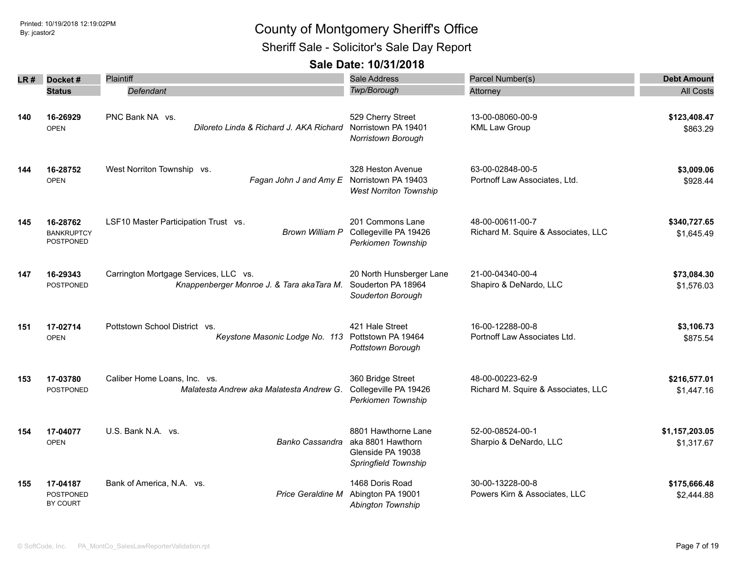Sheriff Sale - Solicitor's Sale Day Report

| LR# | Docket#                                    | Plaintiff                                                                          | Sale Address                                                                          | Parcel Number(s)                                        | <b>Debt Amount</b>           |
|-----|--------------------------------------------|------------------------------------------------------------------------------------|---------------------------------------------------------------------------------------|---------------------------------------------------------|------------------------------|
|     | <b>Status</b>                              | Defendant                                                                          | Twp/Borough                                                                           | Attorney                                                | <b>All Costs</b>             |
|     |                                            |                                                                                    |                                                                                       |                                                         |                              |
| 140 | 16-26929<br><b>OPEN</b>                    | PNC Bank NA vs.<br>Diloreto Linda & Richard J. AKA Richard                         | 529 Cherry Street<br>Norristown PA 19401<br>Norristown Borough                        | 13-00-08060-00-9<br><b>KML Law Group</b>                | \$123,408.47<br>\$863.29     |
| 144 | 16-28752<br><b>OPEN</b>                    | West Norriton Township vs.<br>Fagan John J and Amy E Norristown PA 19403           | 328 Heston Avenue<br><b>West Norriton Township</b>                                    | 63-00-02848-00-5<br>Portnoff Law Associates, Ltd.       | \$3,009.06<br>\$928.44       |
| 145 | 16-28762<br><b>BANKRUPTCY</b><br>POSTPONED | LSF10 Master Participation Trust vs.<br><b>Brown William P</b>                     | 201 Commons Lane<br>Collegeville PA 19426<br>Perkiomen Township                       | 48-00-00611-00-7<br>Richard M. Squire & Associates, LLC | \$340,727.65<br>\$1,645.49   |
| 147 | 16-29343<br><b>POSTPONED</b>               | Carrington Mortgage Services, LLC vs.<br>Knappenberger Monroe J. & Tara akaTara M. | 20 North Hunsberger Lane<br>Souderton PA 18964<br>Souderton Borough                   | 21-00-04340-00-4<br>Shapiro & DeNardo, LLC              | \$73,084.30<br>\$1,576.03    |
| 151 | 17-02714<br><b>OPEN</b>                    | Pottstown School District vs.<br>Keystone Masonic Lodge No. 113 Pottstown PA 19464 | 421 Hale Street<br>Pottstown Borough                                                  | 16-00-12288-00-8<br>Portnoff Law Associates Ltd.        | \$3,106.73<br>\$875.54       |
| 153 | 17-03780<br><b>POSTPONED</b>               | Caliber Home Loans, Inc. vs.<br>Malatesta Andrew aka Malatesta Andrew G.           | 360 Bridge Street<br>Collegeville PA 19426<br>Perkiomen Township                      | 48-00-00223-62-9<br>Richard M. Squire & Associates, LLC | \$216,577.01<br>\$1,447.16   |
| 154 | 17-04077<br><b>OPEN</b>                    | U.S. Bank N.A. vs.<br>Banko Cassandra                                              | 8801 Hawthorne Lane<br>aka 8801 Hawthorn<br>Glenside PA 19038<br>Springfield Township | 52-00-08524-00-1<br>Sharpio & DeNardo, LLC              | \$1,157,203.05<br>\$1,317.67 |
| 155 | 17-04187<br>POSTPONED<br><b>BY COURT</b>   | Bank of America, N.A. vs.<br><b>Price Geraldine M</b>                              | 1468 Doris Road<br>Abington PA 19001<br>Abington Township                             | 30-00-13228-00-8<br>Powers Kirn & Associates, LLC       | \$175,666.48<br>\$2,444.88   |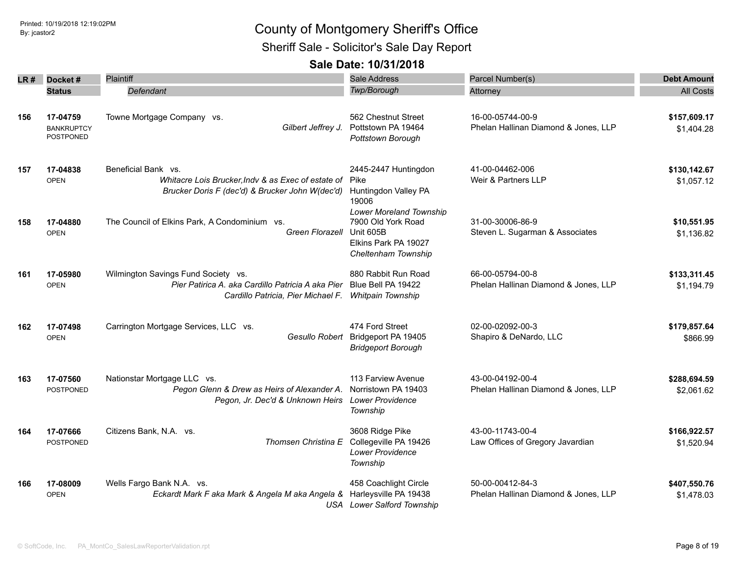Sheriff Sale - Solicitor's Sale Day Report

| LR# | Docket#                                    | Plaintiff                                                                                                                      | Sale Address                                                                                                     | Parcel Number(s)                                         | <b>Debt Amount</b>         |
|-----|--------------------------------------------|--------------------------------------------------------------------------------------------------------------------------------|------------------------------------------------------------------------------------------------------------------|----------------------------------------------------------|----------------------------|
|     | <b>Status</b>                              | Defendant                                                                                                                      | Twp/Borough                                                                                                      | Attorney                                                 | <b>All Costs</b>           |
| 156 | 17-04759<br><b>BANKRUPTCY</b><br>POSTPONED | Towne Mortgage Company vs.<br>Gilbert Jeffrey J.                                                                               | 562 Chestnut Street<br>Pottstown PA 19464<br>Pottstown Borough                                                   | 16-00-05744-00-9<br>Phelan Hallinan Diamond & Jones, LLP | \$157,609.17<br>\$1,404.28 |
| 157 | 17-04838<br><b>OPEN</b>                    | Beneficial Bank vs.<br>Whitacre Lois Brucker, Indv & as Exec of estate of<br>Brucker Doris F (dec'd) & Brucker John W(dec'd)   | 2445-2447 Huntingdon<br>Pike<br>Huntingdon Valley PA<br>19006                                                    | 41-00-04462-006<br>Weir & Partners LLP                   | \$130,142.67<br>\$1,057.12 |
| 158 | 17-04880<br><b>OPEN</b>                    | The Council of Elkins Park, A Condominium vs.<br>Green Florazell                                                               | <b>Lower Moreland Township</b><br>7900 Old York Road<br>Unit 605B<br>Elkins Park PA 19027<br>Cheltenham Township | 31-00-30006-86-9<br>Steven L. Sugarman & Associates      | \$10,551.95<br>\$1,136.82  |
| 161 | 17-05980<br><b>OPEN</b>                    | Wilmington Savings Fund Society vs.<br>Pier Patirica A. aka Cardillo Patricia A aka Pier<br>Cardillo Patricia, Pier Michael F. | 880 Rabbit Run Road<br>Blue Bell PA 19422<br>Whitpain Township                                                   | 66-00-05794-00-8<br>Phelan Hallinan Diamond & Jones, LLP | \$133,311.45<br>\$1,194.79 |
| 162 | 17-07498<br><b>OPEN</b>                    | Carrington Mortgage Services, LLC vs.<br>Gesullo Robert                                                                        | 474 Ford Street<br>Bridgeport PA 19405<br><b>Bridgeport Borough</b>                                              | 02-00-02092-00-3<br>Shapiro & DeNardo, LLC               | \$179,857.64<br>\$866.99   |
| 163 | 17-07560<br><b>POSTPONED</b>               | Nationstar Mortgage LLC vs.<br>Pegon Glenn & Drew as Heirs of Alexander A.<br>Pegon, Jr. Dec'd & Unknown Heirs                 | 113 Farview Avenue<br>Norristown PA 19403<br><b>Lower Providence</b><br>Township                                 | 43-00-04192-00-4<br>Phelan Hallinan Diamond & Jones, LLP | \$288,694.59<br>\$2,061.62 |
| 164 | 17-07666<br><b>POSTPONED</b>               | Citizens Bank, N.A. vs.<br>Thomsen Christina E                                                                                 | 3608 Ridge Pike<br>Collegeville PA 19426<br>Lower Providence<br>Township                                         | 43-00-11743-00-4<br>Law Offices of Gregory Javardian     | \$166,922.57<br>\$1,520.94 |
| 166 | 17-08009<br><b>OPEN</b>                    | Wells Fargo Bank N.A. vs.<br>Eckardt Mark F aka Mark & Angela M aka Angela &                                                   | 458 Coachlight Circle<br>Harleysville PA 19438<br><b>USA</b> Lower Salford Township                              | 50-00-00412-84-3<br>Phelan Hallinan Diamond & Jones, LLP | \$407,550.76<br>\$1,478.03 |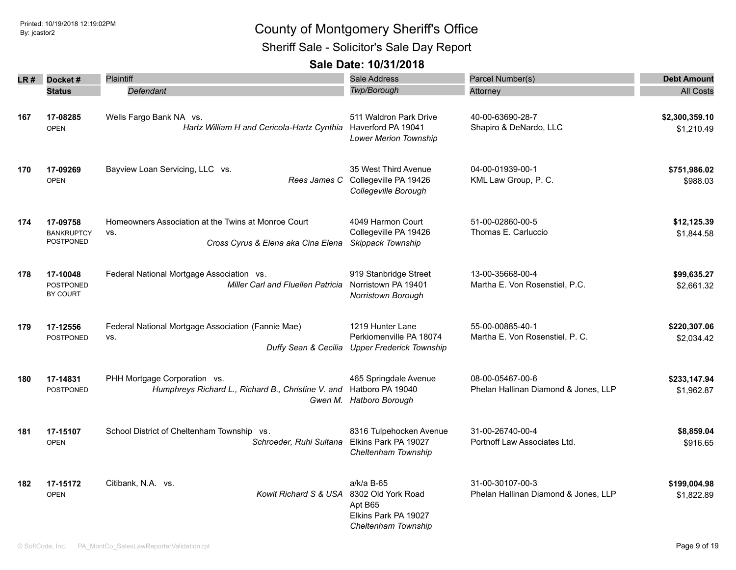Sheriff Sale - Solicitor's Sale Day Report

|     | LR# Docket#                                | <b>Plaintiff</b>                                                                                 | Sale Address                                                                               | Parcel Number(s)                                         | <b>Debt Amount</b>           |
|-----|--------------------------------------------|--------------------------------------------------------------------------------------------------|--------------------------------------------------------------------------------------------|----------------------------------------------------------|------------------------------|
|     | <b>Status</b>                              | Defendant                                                                                        | Twp/Borough                                                                                | Attorney                                                 | <b>All Costs</b>             |
| 167 | 17-08285<br><b>OPEN</b>                    | Wells Fargo Bank NA vs.<br>Hartz William H and Cericola-Hartz Cynthia                            | 511 Waldron Park Drive<br>Haverford PA 19041<br>Lower Merion Township                      | 40-00-63690-28-7<br>Shapiro & DeNardo, LLC               | \$2,300,359.10<br>\$1,210.49 |
| 170 | 17-09269<br><b>OPEN</b>                    | Bayview Loan Servicing, LLC vs.                                                                  | 35 West Third Avenue<br>Rees James C Collegeville PA 19426<br>Collegeville Borough         | 04-00-01939-00-1<br>KML Law Group, P. C.                 | \$751,986.02<br>\$988.03     |
| 174 | 17-09758<br><b>BANKRUPTCY</b><br>POSTPONED | Homeowners Association at the Twins at Monroe Court<br>VS.<br>Cross Cyrus & Elena aka Cina Elena | 4049 Harmon Court<br>Collegeville PA 19426<br>Skippack Township                            | 51-00-02860-00-5<br>Thomas E. Carluccio                  | \$12,125.39<br>\$1,844.58    |
| 178 | 17-10048<br><b>POSTPONED</b><br>BY COURT   | Federal National Mortgage Association vs.<br>Miller Carl and Fluellen Patricia                   | 919 Stanbridge Street<br>Norristown PA 19401<br>Norristown Borough                         | 13-00-35668-00-4<br>Martha E. Von Rosenstiel, P.C.       | \$99,635.27<br>\$2,661.32    |
| 179 | 17-12556<br>POSTPONED                      | Federal National Mortgage Association (Fannie Mae)<br>VS.<br>Duffy Sean & Cecilia                | 1219 Hunter Lane<br>Perkiomenville PA 18074<br><b>Upper Frederick Township</b>             | 55-00-00885-40-1<br>Martha E. Von Rosenstiel, P. C.      | \$220,307.06<br>\$2,034.42   |
| 180 | 17-14831<br>POSTPONED                      | PHH Mortgage Corporation vs.<br>Humphreys Richard L., Richard B., Christine V. and               | 465 Springdale Avenue<br>Hatboro PA 19040<br>Gwen M. Hatboro Borough                       | 08-00-05467-00-6<br>Phelan Hallinan Diamond & Jones, LLP | \$233,147.94<br>\$1,962.87   |
| 181 | 17-15107<br><b>OPEN</b>                    | School District of Cheltenham Township vs.<br>Schroeder, Ruhi Sultana                            | 8316 Tulpehocken Avenue<br>Elkins Park PA 19027<br>Cheltenham Township                     | 31-00-26740-00-4<br>Portnoff Law Associates Ltd.         | \$8,859.04<br>\$916.65       |
| 182 | 17-15172<br><b>OPEN</b>                    | Citibank, N.A. vs.<br>Kowit Richard S & USA                                                      | a/k/a B-65<br>8302 Old York Road<br>Apt B65<br>Elkins Park PA 19027<br>Cheltenham Township | 31-00-30107-00-3<br>Phelan Hallinan Diamond & Jones, LLP | \$199,004.98<br>\$1,822.89   |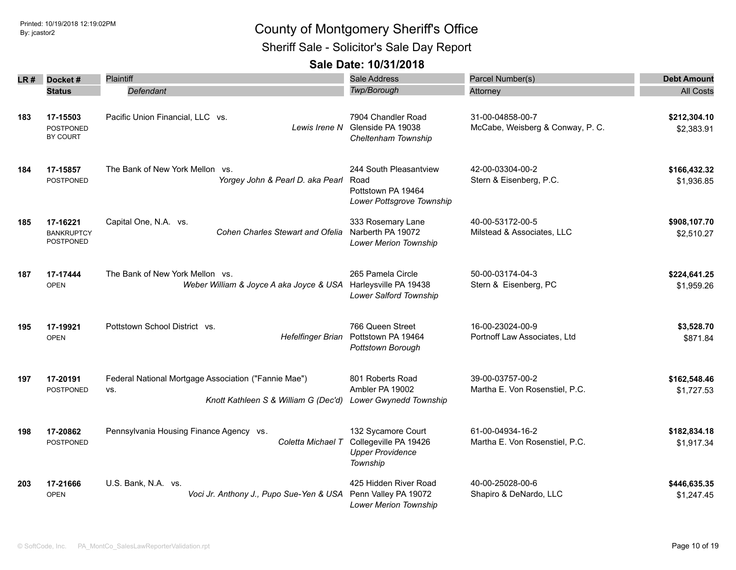Sheriff Sale - Solicitor's Sale Day Report

| LR# | Docket#                                           | <b>Plaintiff</b>                                                                                    | Sale Address                                                                       | Parcel Number(s)                                     | <b>Debt Amount</b>         |
|-----|---------------------------------------------------|-----------------------------------------------------------------------------------------------------|------------------------------------------------------------------------------------|------------------------------------------------------|----------------------------|
|     | <b>Status</b>                                     | Defendant                                                                                           | <b>Twp/Borough</b>                                                                 | Attorney                                             | <b>All Costs</b>           |
| 183 | 17-15503<br><b>POSTPONED</b><br>BY COURT          | Pacific Union Financial, LLC vs.<br>Lewis Irene N                                                   | 7904 Chandler Road<br>Glenside PA 19038<br>Cheltenham Township                     | 31-00-04858-00-7<br>McCabe, Weisberg & Conway, P. C. | \$212,304.10<br>\$2,383.91 |
| 184 | 17-15857<br><b>POSTPONED</b>                      | The Bank of New York Mellon vs.<br>Yorgey John & Pearl D. aka Pearl                                 | 244 South Pleasantview<br>Road<br>Pottstown PA 19464<br>Lower Pottsgrove Township  | 42-00-03304-00-2<br>Stern & Eisenberg, P.C.          | \$166,432.32<br>\$1,936.85 |
| 185 | 17-16221<br><b>BANKRUPTCY</b><br><b>POSTPONED</b> | Capital One, N.A. vs.<br>Cohen Charles Stewart and Ofelia                                           | 333 Rosemary Lane<br>Narberth PA 19072<br><b>Lower Merion Township</b>             | 40-00-53172-00-5<br>Milstead & Associates, LLC       | \$908,107.70<br>\$2,510.27 |
| 187 | 17-17444<br><b>OPEN</b>                           | The Bank of New York Mellon vs.<br>Weber William & Joyce A aka Joyce & USA                          | 265 Pamela Circle<br>Harleysville PA 19438<br>Lower Salford Township               | 50-00-03174-04-3<br>Stern & Eisenberg, PC            | \$224,641.25<br>\$1,959.26 |
| 195 | 17-19921<br><b>OPEN</b>                           | Pottstown School District vs.<br><b>Hefelfinger Brian</b>                                           | 766 Queen Street<br>Pottstown PA 19464<br>Pottstown Borough                        | 16-00-23024-00-9<br>Portnoff Law Associates, Ltd     | \$3,528.70<br>\$871.84     |
| 197 | 17-20191<br><b>POSTPONED</b>                      | Federal National Mortgage Association ("Fannie Mae")<br>VS.<br>Knott Kathleen S & William G (Dec'd) | 801 Roberts Road<br>Ambler PA 19002<br>Lower Gwynedd Township                      | 39-00-03757-00-2<br>Martha E. Von Rosenstiel, P.C.   | \$162,548.46<br>\$1,727.53 |
| 198 | 17-20862<br><b>POSTPONED</b>                      | Pennsylvania Housing Finance Agency vs.<br>Coletta Michael T                                        | 132 Sycamore Court<br>Collegeville PA 19426<br><b>Upper Providence</b><br>Township | 61-00-04934-16-2<br>Martha E. Von Rosenstiel, P.C.   | \$182,834.18<br>\$1,917.34 |
| 203 | 17-21666<br><b>OPEN</b>                           | U.S. Bank, N.A. vs.<br>Voci Jr. Anthony J., Pupo Sue-Yen & USA                                      | 425 Hidden River Road<br>Penn Valley PA 19072<br><b>Lower Merion Township</b>      | 40-00-25028-00-6<br>Shapiro & DeNardo, LLC           | \$446,635.35<br>\$1,247.45 |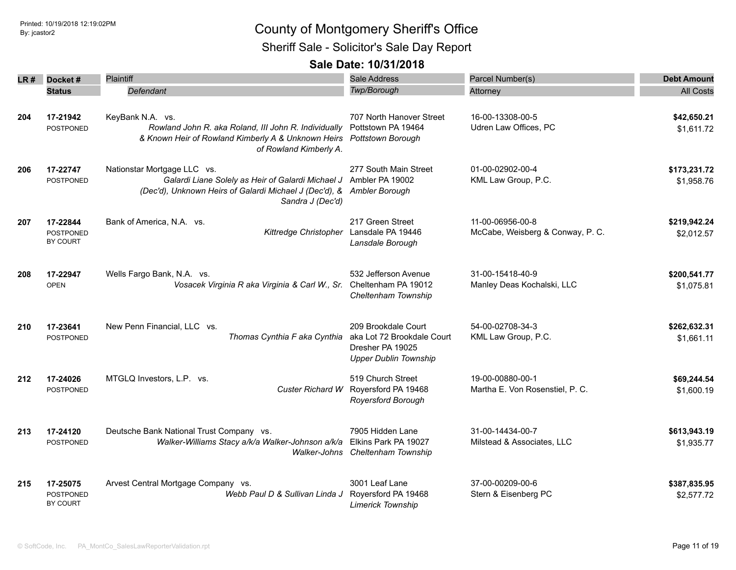Sheriff Sale - Solicitor's Sale Day Report

| LR#I | Docket#                                  | Plaintiff                                                                                                                                                      | Sale Address                                                                                          | Parcel Number(s)                                     | <b>Debt Amount</b>         |
|------|------------------------------------------|----------------------------------------------------------------------------------------------------------------------------------------------------------------|-------------------------------------------------------------------------------------------------------|------------------------------------------------------|----------------------------|
|      | <b>Status</b>                            | Defendant                                                                                                                                                      | Twp/Borough                                                                                           | Attorney                                             | <b>All Costs</b>           |
| 204  | 17-21942<br><b>POSTPONED</b>             | KeyBank N.A. vs.<br>Rowland John R. aka Roland, III John R. Individually<br>& Known Heir of Rowland Kimberly A & Unknown Heirs<br>of Rowland Kimberly A.       | 707 North Hanover Street<br>Pottstown PA 19464<br><b>Pottstown Borough</b>                            | 16-00-13308-00-5<br>Udren Law Offices, PC            | \$42,650.21<br>\$1,611.72  |
| 206  | 17-22747<br>POSTPONED                    | Nationstar Mortgage LLC vs.<br>Galardi Liane Solely as Heir of Galardi Michael J<br>(Dec'd), Unknown Heirs of Galardi Michael J (Dec'd), &<br>Sandra J (Dec'd) | 277 South Main Street<br>Ambler PA 19002<br>Ambler Borough                                            | 01-00-02902-00-4<br>KML Law Group, P.C.              | \$173,231.72<br>\$1,958.76 |
| 207  | 17-22844<br><b>POSTPONED</b><br>BY COURT | Bank of America, N.A. vs.<br>Kittredge Christopher                                                                                                             | 217 Green Street<br>Lansdale PA 19446<br>Lansdale Borough                                             | 11-00-06956-00-8<br>McCabe, Weisberg & Conway, P. C. | \$219,942.24<br>\$2,012.57 |
| 208  | 17-22947<br><b>OPEN</b>                  | Wells Fargo Bank, N.A. vs.<br>Vosacek Virginia R aka Virginia & Carl W., Sr. Cheltenham PA 19012                                                               | 532 Jefferson Avenue<br>Cheltenham Township                                                           | 31-00-15418-40-9<br>Manley Deas Kochalski, LLC       | \$200,541.77<br>\$1,075.81 |
| 210  | 17-23641<br><b>POSTPONED</b>             | New Penn Financial, LLC vs.<br>Thomas Cynthia F aka Cynthia                                                                                                    | 209 Brookdale Court<br>aka Lot 72 Brookdale Court<br>Dresher PA 19025<br><b>Upper Dublin Township</b> | 54-00-02708-34-3<br>KML Law Group, P.C.              | \$262,632.31<br>\$1,661.11 |
| 212  | 17-24026<br><b>POSTPONED</b>             | MTGLQ Investors, L.P. vs.<br>Custer Richard W                                                                                                                  | 519 Church Street<br>Royersford PA 19468<br><b>Royersford Borough</b>                                 | 19-00-00880-00-1<br>Martha E. Von Rosenstiel, P. C.  | \$69,244.54<br>\$1,600.19  |
| 213  | 17-24120<br><b>POSTPONED</b>             | Deutsche Bank National Trust Company vs.<br>Walker-Williams Stacy a/k/a Walker-Johnson a/k/a                                                                   | 7905 Hidden Lane<br>Elkins Park PA 19027<br>Walker-Johns Cheltenham Township                          | 31-00-14434-00-7<br>Milstead & Associates, LLC       | \$613,943.19<br>\$1,935.77 |
| 215  | 17-25075<br><b>POSTPONED</b><br>BY COURT | Arvest Central Mortgage Company vs.<br>Webb Paul D & Sullivan Linda J                                                                                          | 3001 Leaf Lane<br>Royersford PA 19468<br><b>Limerick Township</b>                                     | 37-00-00209-00-6<br>Stern & Eisenberg PC             | \$387,835.95<br>\$2,577.72 |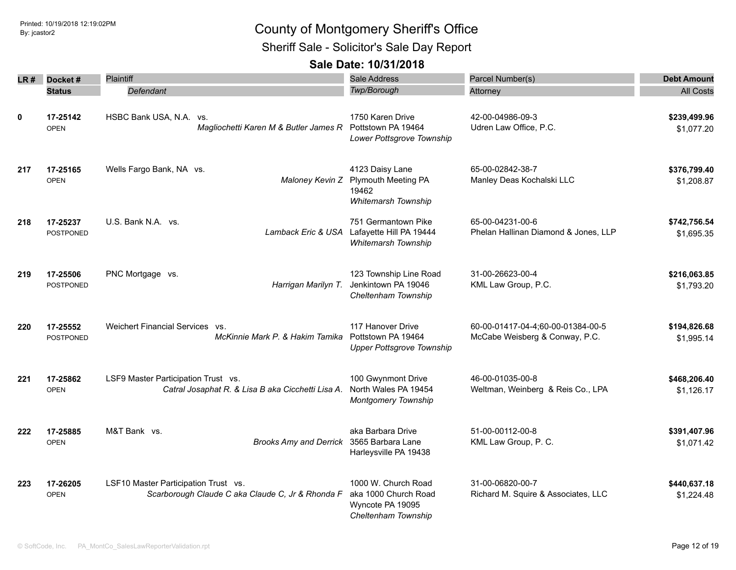Sheriff Sale - Solicitor's Sale Day Report

| LR # | Docket#                      | Plaintiff                                                                                | Sale Address                                                                           | Parcel Number(s)                                                    | <b>Debt Amount</b>         |
|------|------------------------------|------------------------------------------------------------------------------------------|----------------------------------------------------------------------------------------|---------------------------------------------------------------------|----------------------------|
|      | <b>Status</b>                | Defendant                                                                                | <b>Twp/Borough</b>                                                                     | Attorney                                                            | <b>All Costs</b>           |
| 0    | 17-25142<br><b>OPEN</b>      | HSBC Bank USA, N.A. vs.<br>Magliochetti Karen M & Butler James R                         | 1750 Karen Drive<br>Pottstown PA 19464<br>Lower Pottsgrove Township                    | 42-00-04986-09-3<br>Udren Law Office, P.C.                          | \$239,499.96<br>\$1,077.20 |
| 217  | 17-25165<br><b>OPEN</b>      | Wells Fargo Bank, NA vs.<br>Maloney Kevin Z                                              | 4123 Daisy Lane<br><b>Plymouth Meeting PA</b><br>19462<br>Whitemarsh Township          | 65-00-02842-38-7<br>Manley Deas Kochalski LLC                       | \$376,799.40<br>\$1,208.87 |
| 218  | 17-25237<br><b>POSTPONED</b> | U.S. Bank N.A. vs.<br>Lamback Eric & USA                                                 | 751 Germantown Pike<br>Lafayette Hill PA 19444<br>Whitemarsh Township                  | 65-00-04231-00-6<br>Phelan Hallinan Diamond & Jones, LLP            | \$742,756.54<br>\$1,695.35 |
| 219  | 17-25506<br>POSTPONED        | PNC Mortgage vs.<br>Harrigan Marilyn T.                                                  | 123 Township Line Road<br>Jenkintown PA 19046<br>Cheltenham Township                   | 31-00-26623-00-4<br>KML Law Group, P.C.                             | \$216,063.85<br>\$1,793.20 |
| 220  | 17-25552<br><b>POSTPONED</b> | Weichert Financial Services vs.<br>McKinnie Mark P. & Hakim Tamika                       | 117 Hanover Drive<br>Pottstown PA 19464<br><b>Upper Pottsgrove Township</b>            | 60-00-01417-04-4;60-00-01384-00-5<br>McCabe Weisberg & Conway, P.C. | \$194,826.68<br>\$1,995.14 |
| 221  | 17-25862<br><b>OPEN</b>      | LSF9 Master Participation Trust vs.<br>Catral Josaphat R. & Lisa B aka Cicchetti Lisa A. | 100 Gwynmont Drive<br>North Wales PA 19454<br><b>Montgomery Township</b>               | 46-00-01035-00-8<br>Weltman, Weinberg & Reis Co., LPA               | \$468,206.40<br>\$1,126.17 |
| 222  | 17-25885<br><b>OPEN</b>      | M&T Bank vs.<br>Brooks Amy and Derrick 3565 Barbara Lane                                 | aka Barbara Drive<br>Harleysville PA 19438                                             | 51-00-00112-00-8<br>KML Law Group, P. C.                            | \$391,407.96<br>\$1,071.42 |
| 223  | 17-26205<br><b>OPEN</b>      | LSF10 Master Participation Trust vs.<br>Scarborough Claude C aka Claude C, Jr & Rhonda F | 1000 W. Church Road<br>aka 1000 Church Road<br>Wyncote PA 19095<br>Cheltenham Township | 31-00-06820-00-7<br>Richard M. Squire & Associates, LLC             | \$440,637.18<br>\$1,224.48 |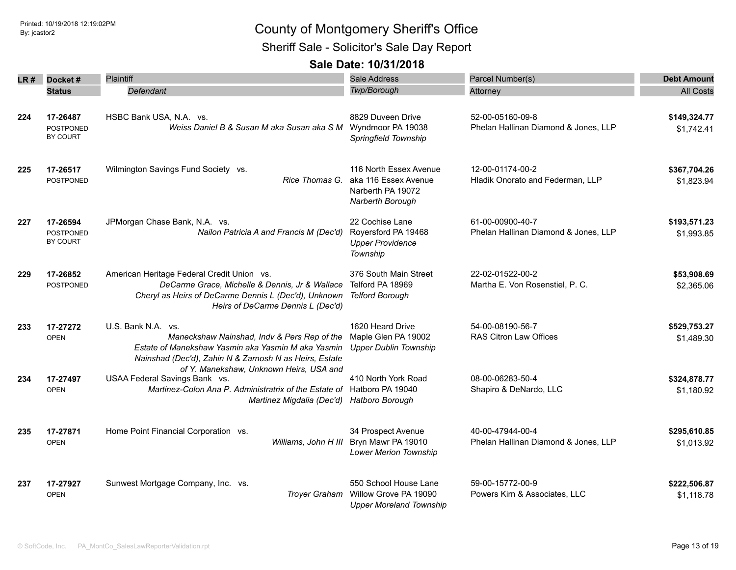Sheriff Sale - Solicitor's Sale Day Report

| LR # | Docket#          | Plaintiff                                                                                               | Sale Address                   | Parcel Number(s)                           | <b>Debt Amount</b> |
|------|------------------|---------------------------------------------------------------------------------------------------------|--------------------------------|--------------------------------------------|--------------------|
|      | <b>Status</b>    | Defendant                                                                                               | Twp/Borough                    | Attorney                                   | <b>All Costs</b>   |
|      |                  |                                                                                                         |                                |                                            |                    |
| 224  | 17-26487         | HSBC Bank USA, N.A. vs.                                                                                 | 8829 Duveen Drive              | 52-00-05160-09-8                           | \$149,324.77       |
|      | <b>POSTPONED</b> | Weiss Daniel B & Susan M aka Susan aka S M                                                              | Wyndmoor PA 19038              | Phelan Hallinan Diamond & Jones, LLP       | \$1,742.41         |
|      | BY COURT         |                                                                                                         | Springfield Township           |                                            |                    |
|      |                  |                                                                                                         |                                |                                            |                    |
| 225  | 17-26517         | Wilmington Savings Fund Society vs.                                                                     | 116 North Essex Avenue         | 12-00-01174-00-2                           | \$367,704.26       |
|      | <b>POSTPONED</b> | Rice Thomas G.                                                                                          | aka 116 Essex Avenue           | Hladik Onorato and Federman, LLP           | \$1,823.94         |
|      |                  |                                                                                                         | Narberth PA 19072              |                                            |                    |
|      |                  |                                                                                                         | Narberth Borough               |                                            |                    |
| 227  | 17-26594         | JPMorgan Chase Bank, N.A. vs.                                                                           | 22 Cochise Lane                | 61-00-00900-40-7                           | \$193,571.23       |
|      | <b>POSTPONED</b> | Nailon Patricia A and Francis M (Dec'd)                                                                 | Royersford PA 19468            | Phelan Hallinan Diamond & Jones, LLP       | \$1,993.85         |
|      | BY COURT         |                                                                                                         | <b>Upper Providence</b>        |                                            |                    |
|      |                  |                                                                                                         | Township                       |                                            |                    |
| 229  | 17-26852         | American Heritage Federal Credit Union vs.                                                              | 376 South Main Street          | 22-02-01522-00-2                           | \$53,908.69        |
|      | <b>POSTPONED</b> | DeCarme Grace, Michelle & Dennis, Jr & Wallace                                                          | Telford PA 18969               | Martha E. Von Rosenstiel, P. C.            | \$2,365.06         |
|      |                  | Cheryl as Heirs of DeCarme Dennis L (Dec'd), Unknown                                                    | <b>Telford Borough</b>         |                                            |                    |
|      |                  | Heirs of DeCarme Dennis L (Dec'd)                                                                       |                                |                                            |                    |
| 233  | 17-27272         | U.S. Bank N.A. vs.                                                                                      | 1620 Heard Drive               | 54-00-08190-56-7                           | \$529,753.27       |
|      | <b>OPEN</b>      | Maneckshaw Nainshad, Indv & Pers Rep of the                                                             | Maple Glen PA 19002            | RAS Citron Law Offices                     | \$1,489.30         |
|      |                  | Estate of Manekshaw Yasmin aka Yasmin M aka Yasmin                                                      | <b>Upper Dublin Township</b>   |                                            |                    |
|      |                  | Nainshad (Dec'd), Zahin N & Zarnosh N as Heirs, Estate                                                  |                                |                                            |                    |
|      |                  | of Y. Manekshaw, Unknown Heirs, USA and                                                                 |                                |                                            |                    |
| 234  | 17-27497         | USAA Federal Savings Bank vs.<br>Martinez-Colon Ana P. Administratrix of the Estate of Hatboro PA 19040 | 410 North York Road            | 08-00-06283-50-4<br>Shapiro & DeNardo, LLC | \$324,878.77       |
|      | <b>OPEN</b>      | Martinez Migdalia (Dec'd)                                                                               | Hatboro Borough                |                                            | \$1,180.92         |
|      |                  |                                                                                                         |                                |                                            |                    |
| 235  | 17-27871         | Home Point Financial Corporation vs.                                                                    | 34 Prospect Avenue             | 40-00-47944-00-4                           | \$295,610.85       |
|      | <b>OPEN</b>      | Williams, John H III                                                                                    | Bryn Mawr PA 19010             | Phelan Hallinan Diamond & Jones, LLP       | \$1,013.92         |
|      |                  |                                                                                                         | <b>Lower Merion Township</b>   |                                            |                    |
|      |                  |                                                                                                         | 550 School House Lane          | 59-00-15772-00-9                           |                    |
| 237  | 17-27927         | Sunwest Mortgage Company, Inc. vs.<br><b>Troyer Graham</b>                                              | Willow Grove PA 19090          | Powers Kirn & Associates, LLC              | \$222,506.87       |
|      | <b>OPEN</b>      |                                                                                                         | <b>Upper Moreland Township</b> |                                            | \$1,118.78         |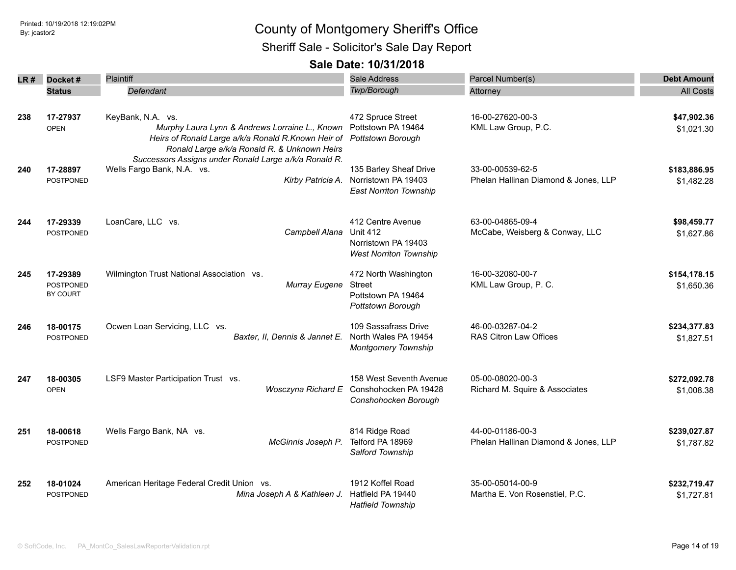Sheriff Sale - Solicitor's Sale Day Report

| LR # | Docket#                                  | Plaintiff                                                                                                                                                                                    | <b>Sale Address</b>                                                                          | Parcel Number(s)                                         | <b>Debt Amount</b>         |
|------|------------------------------------------|----------------------------------------------------------------------------------------------------------------------------------------------------------------------------------------------|----------------------------------------------------------------------------------------------|----------------------------------------------------------|----------------------------|
|      | <b>Status</b>                            | Defendant                                                                                                                                                                                    | Twp/Borough                                                                                  | Attorney                                                 | <b>All Costs</b>           |
| 238  | 17-27937<br><b>OPEN</b>                  | KeyBank, N.A. vs.<br>Murphy Laura Lynn & Andrews Lorraine L., Known Pottstown PA 19464<br>Heirs of Ronald Large a/k/a Ronald R.Known Heir of<br>Ronald Large a/k/a Ronald R. & Unknown Heirs | 472 Spruce Street<br><b>Pottstown Borough</b>                                                | 16-00-27620-00-3<br>KML Law Group, P.C.                  | \$47,902.36<br>\$1,021.30  |
| 240  | 17-28897<br><b>POSTPONED</b>             | Successors Assigns under Ronald Large a/k/a Ronald R.<br>Wells Fargo Bank, N.A. vs.<br>Kirby Patricia A.                                                                                     | 135 Barley Sheaf Drive<br>Norristown PA 19403<br><b>East Norriton Township</b>               | 33-00-00539-62-5<br>Phelan Hallinan Diamond & Jones, LLP | \$183,886.95<br>\$1,482.28 |
| 244  | 17-29339<br><b>POSTPONED</b>             | LoanCare, LLC vs.<br>Campbell Alana                                                                                                                                                          | 412 Centre Avenue<br><b>Unit 412</b><br>Norristown PA 19403<br><b>West Norriton Township</b> | 63-00-04865-09-4<br>McCabe, Weisberg & Conway, LLC       | \$98,459.77<br>\$1,627.86  |
| 245  | 17-29389<br><b>POSTPONED</b><br>BY COURT | Wilmington Trust National Association vs.<br>Murray Eugene                                                                                                                                   | 472 North Washington<br>Street<br>Pottstown PA 19464<br>Pottstown Borough                    | 16-00-32080-00-7<br>KML Law Group, P. C.                 | \$154,178.15<br>\$1,650.36 |
| 246  | 18-00175<br><b>POSTPONED</b>             | Ocwen Loan Servicing, LLC vs.<br>Baxter, II, Dennis & Jannet E.                                                                                                                              | 109 Sassafrass Drive<br>North Wales PA 19454<br><b>Montgomery Township</b>                   | 46-00-03287-04-2<br>RAS Citron Law Offices               | \$234,377.83<br>\$1,827.51 |
| 247  | 18-00305<br><b>OPEN</b>                  | LSF9 Master Participation Trust vs.                                                                                                                                                          | 158 West Seventh Avenue<br>Wosczyna Richard E Conshohocken PA 19428<br>Conshohocken Borough  | 05-00-08020-00-3<br>Richard M. Squire & Associates       | \$272,092.78<br>\$1,008.38 |
| 251  | 18-00618<br><b>POSTPONED</b>             | Wells Fargo Bank, NA vs.<br>McGinnis Joseph P.                                                                                                                                               | 814 Ridge Road<br>Telford PA 18969<br>Salford Township                                       | 44-00-01186-00-3<br>Phelan Hallinan Diamond & Jones, LLP | \$239,027.87<br>\$1,787.82 |
| 252  | 18-01024<br><b>POSTPONED</b>             | American Heritage Federal Credit Union vs.<br>Mina Joseph A & Kathleen J.                                                                                                                    | 1912 Koffel Road<br>Hatfield PA 19440<br><b>Hatfield Township</b>                            | 35-00-05014-00-9<br>Martha E. Von Rosenstiel, P.C.       | \$232,719.47<br>\$1,727.81 |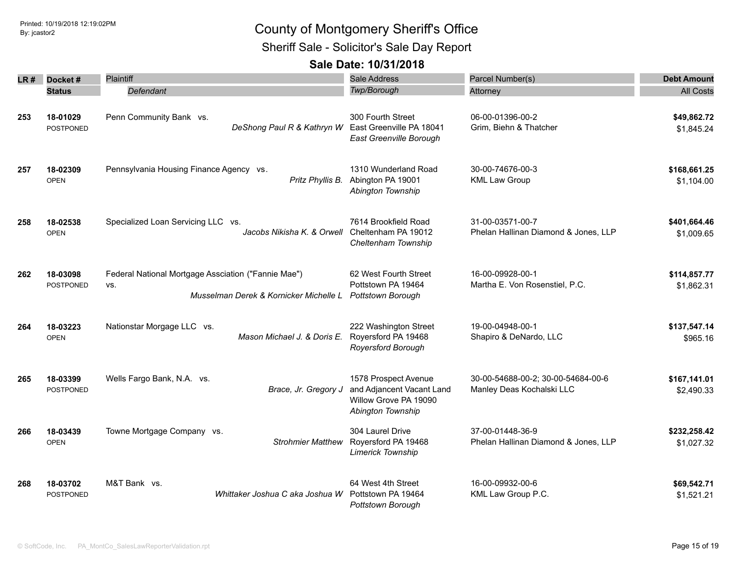Sheriff Sale - Solicitor's Sale Day Report

| LR # | Docket#                      | Plaintiff                                                                                            | <b>Sale Address</b>                                                                             | Parcel Number(s)                                                | <b>Debt Amount</b>         |
|------|------------------------------|------------------------------------------------------------------------------------------------------|-------------------------------------------------------------------------------------------------|-----------------------------------------------------------------|----------------------------|
|      | <b>Status</b>                | Defendant                                                                                            | Twp/Borough                                                                                     | Attorney                                                        | <b>All Costs</b>           |
| 253  | 18-01029<br><b>POSTPONED</b> | Penn Community Bank vs.<br>DeShong Paul R & Kathryn W                                                | 300 Fourth Street<br>East Greenville PA 18041<br>East Greenville Borough                        | 06-00-01396-00-2<br>Grim, Biehn & Thatcher                      | \$49,862.72<br>\$1,845.24  |
| 257  | 18-02309<br><b>OPEN</b>      | Pennsylvania Housing Finance Agency vs.<br>Pritz Phyllis B.                                          | 1310 Wunderland Road<br>Abington PA 19001<br>Abington Township                                  | 30-00-74676-00-3<br><b>KML Law Group</b>                        | \$168,661.25<br>\$1,104.00 |
| 258  | 18-02538<br><b>OPEN</b>      | Specialized Loan Servicing LLC vs.<br>Jacobs Nikisha K. & Orwell                                     | 7614 Brookfield Road<br>Cheltenham PA 19012<br>Cheltenham Township                              | 31-00-03571-00-7<br>Phelan Hallinan Diamond & Jones, LLP        | \$401,664.46<br>\$1,009.65 |
| 262  | 18-03098<br>POSTPONED        | Federal National Mortgage Assciation ("Fannie Mae")<br>VS.<br>Musselman Derek & Kornicker Michelle L | 62 West Fourth Street<br>Pottstown PA 19464<br>Pottstown Borough                                | 16-00-09928-00-1<br>Martha E. Von Rosenstiel, P.C.              | \$114,857.77<br>\$1,862.31 |
| 264  | 18-03223<br><b>OPEN</b>      | Nationstar Morgage LLC vs.<br>Mason Michael J. & Doris E.                                            | 222 Washington Street<br>Royersford PA 19468<br>Royersford Borough                              | 19-00-04948-00-1<br>Shapiro & DeNardo, LLC                      | \$137,547.14<br>\$965.16   |
| 265  | 18-03399<br>POSTPONED        | Wells Fargo Bank, N.A. vs.<br>Brace, Jr. Gregory J                                                   | 1578 Prospect Avenue<br>and Adjancent Vacant Land<br>Willow Grove PA 19090<br>Abington Township | 30-00-54688-00-2; 30-00-54684-00-6<br>Manley Deas Kochalski LLC | \$167,141.01<br>\$2,490.33 |
| 266  | 18-03439<br><b>OPEN</b>      | Towne Mortgage Company vs.<br><b>Strohmier Matthew</b>                                               | 304 Laurel Drive<br>Royersford PA 19468<br><b>Limerick Township</b>                             | 37-00-01448-36-9<br>Phelan Hallinan Diamond & Jones, LLP        | \$232,258.42<br>\$1,027.32 |
| 268  | 18-03702<br>POSTPONED        | M&T Bank vs.<br>Whittaker Joshua C aka Joshua W                                                      | 64 West 4th Street<br>Pottstown PA 19464<br>Pottstown Borough                                   | 16-00-09932-00-6<br>KML Law Group P.C.                          | \$69,542.71<br>\$1,521.21  |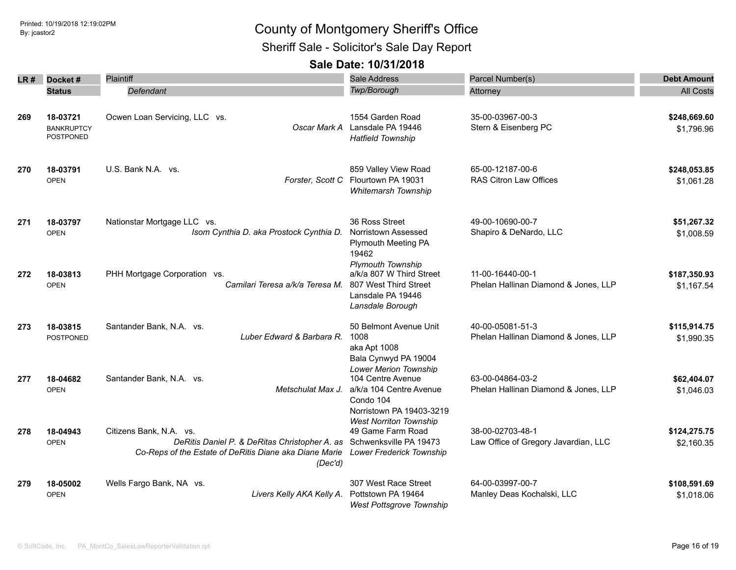Sheriff Sale - Solicitor's Sale Day Report

| LR # | Docket#                                    | Plaintiff                                                                                                                                                                                     | Sale Address                                                                                                           | Parcel Number(s)                                         | <b>Debt Amount</b>         |
|------|--------------------------------------------|-----------------------------------------------------------------------------------------------------------------------------------------------------------------------------------------------|------------------------------------------------------------------------------------------------------------------------|----------------------------------------------------------|----------------------------|
|      | <b>Status</b>                              | Defendant                                                                                                                                                                                     | Twp/Borough                                                                                                            | Attorney                                                 | <b>All Costs</b>           |
| 269  | 18-03721<br><b>BANKRUPTCY</b><br>POSTPONED | Ocwen Loan Servicing, LLC vs.<br>Oscar Mark A                                                                                                                                                 | 1554 Garden Road<br>Lansdale PA 19446<br><b>Hatfield Township</b>                                                      | 35-00-03967-00-3<br>Stern & Eisenberg PC                 | \$248,669.60<br>\$1,796.96 |
| 270  | 18-03791<br><b>OPEN</b>                    | U.S. Bank N.A. vs.                                                                                                                                                                            | 859 Valley View Road<br>Forster, Scott C Flourtown PA 19031<br>Whitemarsh Township                                     | 65-00-12187-00-6<br><b>RAS Citron Law Offices</b>        | \$248,053.85<br>\$1,061.28 |
| 271  | 18-03797<br><b>OPEN</b>                    | Nationstar Mortgage LLC vs.<br>Isom Cynthia D. aka Prostock Cynthia D.                                                                                                                        | 36 Ross Street<br>Norristown Assessed<br><b>Plymouth Meeting PA</b><br>19462                                           | 49-00-10690-00-7<br>Shapiro & DeNardo, LLC               | \$51,267.32<br>\$1,008.59  |
| 272  | 18-03813<br><b>OPEN</b>                    | PHH Mortgage Corporation vs.<br>Camilari Teresa a/k/a Teresa M.                                                                                                                               | <b>Plymouth Township</b><br>a/k/a 807 W Third Street<br>807 West Third Street<br>Lansdale PA 19446<br>Lansdale Borough | 11-00-16440-00-1<br>Phelan Hallinan Diamond & Jones, LLP | \$187,350.93<br>\$1,167.54 |
| 273  | 18-03815<br><b>POSTPONED</b>               | Santander Bank, N.A. vs.<br>Luber Edward & Barbara R.                                                                                                                                         | 50 Belmont Avenue Unit<br>1008<br>aka Apt 1008<br>Bala Cynwyd PA 19004                                                 | 40-00-05081-51-3<br>Phelan Hallinan Diamond & Jones, LLP | \$115,914.75<br>\$1,990.35 |
| 277  | 18-04682<br><b>OPEN</b>                    | Santander Bank, N.A. vs.<br>Metschulat Max J.                                                                                                                                                 | <b>Lower Merion Township</b><br>104 Centre Avenue<br>a/k/a 104 Centre Avenue<br>Condo 104<br>Norristown PA 19403-3219  | 63-00-04864-03-2<br>Phelan Hallinan Diamond & Jones, LLP | \$62,404.07<br>\$1,046.03  |
| 278  | 18-04943<br><b>OPEN</b>                    | Citizens Bank, N.A. vs.<br>DeRitis Daniel P. & DeRitas Christopher A. as Schwenksville PA 19473<br>Co-Reps of the Estate of DeRitis Diane aka Diane Marie Lower Frederick Township<br>(Dec'd) | <b>West Norriton Township</b><br>49 Game Farm Road                                                                     | 38-00-02703-48-1<br>Law Office of Gregory Javardian, LLC | \$124,275.75<br>\$2,160.35 |
| 279  | 18-05002<br><b>OPEN</b>                    | Wells Fargo Bank, NA vs.<br>Livers Kelly AKA Kelly A.                                                                                                                                         | 307 West Race Street<br>Pottstown PA 19464<br><b>West Pottsgrove Township</b>                                          | 64-00-03997-00-7<br>Manley Deas Kochalski, LLC           | \$108,591.69<br>\$1,018.06 |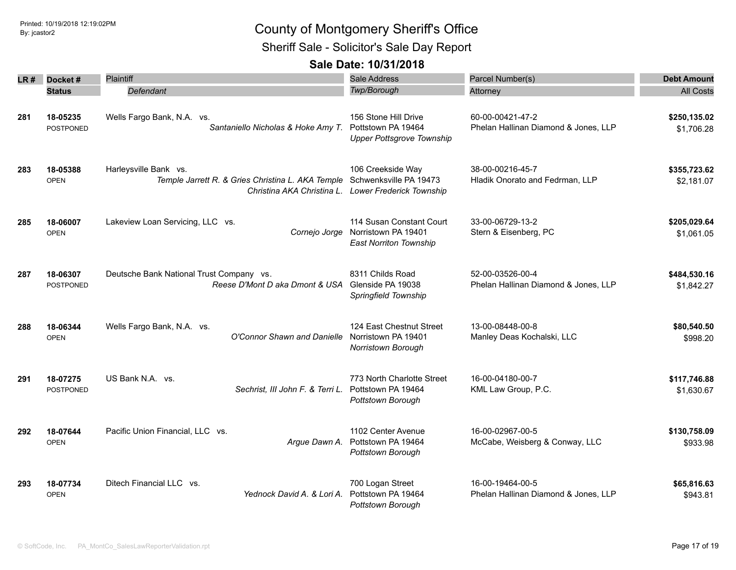Sheriff Sale - Solicitor's Sale Day Report

| LR # | Docket#                      | Plaintiff                                                                                         | <b>Sale Address</b>                                                              | Parcel Number(s)                                         | <b>Debt Amount</b>         |
|------|------------------------------|---------------------------------------------------------------------------------------------------|----------------------------------------------------------------------------------|----------------------------------------------------------|----------------------------|
|      | <b>Status</b>                | Defendant                                                                                         | Twp/Borough                                                                      | Attorney                                                 | <b>All Costs</b>           |
| 281  | 18-05235<br><b>POSTPONED</b> | Wells Fargo Bank, N.A. vs.<br>Santaniello Nicholas & Hoke Amy T.                                  | 156 Stone Hill Drive<br>Pottstown PA 19464<br><b>Upper Pottsgrove Township</b>   | 60-00-00421-47-2<br>Phelan Hallinan Diamond & Jones, LLP | \$250,135.02<br>\$1,706.28 |
| 283  | 18-05388<br><b>OPEN</b>      | Harleysville Bank vs.<br>Temple Jarrett R. & Gries Christina L. AKA Temple Schwenksville PA 19473 | 106 Creekside Way<br>Christina AKA Christina L. Lower Frederick Township         | 38-00-00216-45-7<br>Hladik Onorato and Fedrman, LLP      | \$355,723.62<br>\$2,181.07 |
| 285  | 18-06007<br><b>OPEN</b>      | Lakeview Loan Servicing, LLC vs.<br>Cornejo Jorge                                                 | 114 Susan Constant Court<br>Norristown PA 19401<br><b>East Norriton Township</b> | 33-00-06729-13-2<br>Stern & Eisenberg, PC                | \$205,029.64<br>\$1,061.05 |
| 287  | 18-06307<br><b>POSTPONED</b> | Deutsche Bank National Trust Company vs.<br>Reese D'Mont D aka Dmont & USA                        | 8311 Childs Road<br>Glenside PA 19038<br>Springfield Township                    | 52-00-03526-00-4<br>Phelan Hallinan Diamond & Jones, LLP | \$484,530.16<br>\$1,842.27 |
| 288  | 18-06344<br><b>OPEN</b>      | Wells Fargo Bank, N.A. vs.<br>O'Connor Shawn and Danielle                                         | 124 East Chestnut Street<br>Norristown PA 19401<br>Norristown Borough            | 13-00-08448-00-8<br>Manley Deas Kochalski, LLC           | \$80,540.50<br>\$998.20    |
| 291  | 18-07275<br><b>POSTPONED</b> | US Bank N.A. vs.<br>Sechrist, III John F. & Terri L.                                              | 773 North Charlotte Street<br>Pottstown PA 19464<br>Pottstown Borough            | 16-00-04180-00-7<br>KML Law Group, P.C.                  | \$117,746.88<br>\$1,630.67 |
| 292  | 18-07644<br><b>OPEN</b>      | Pacific Union Financial, LLC vs.<br>Argue Dawn A.                                                 | 1102 Center Avenue<br>Pottstown PA 19464<br>Pottstown Borough                    | 16-00-02967-00-5<br>McCabe, Weisberg & Conway, LLC       | \$130,758.09<br>\$933.98   |
| 293  | 18-07734<br><b>OPEN</b>      | Ditech Financial LLC vs.<br>Yednock David A, & Lori A,                                            | 700 Logan Street<br>Pottstown PA 19464<br>Pottstown Borough                      | 16-00-19464-00-5<br>Phelan Hallinan Diamond & Jones, LLP | \$65,816.63<br>\$943.81    |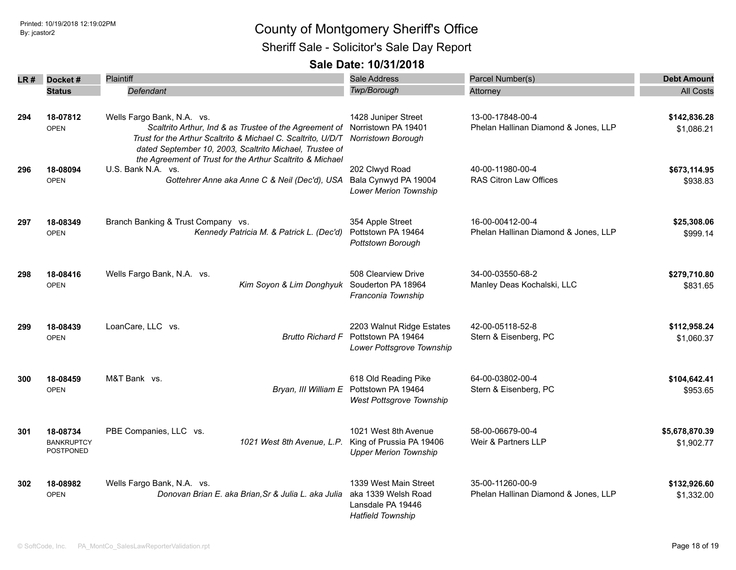Sheriff Sale - Solicitor's Sale Day Report

| LR# | Docket#                                    | <b>Plaintiff</b>                                                                                                                                                                                                                                                                                 | Sale Address                                                                                  | Parcel Number(s)                                         | <b>Debt Amount</b>           |
|-----|--------------------------------------------|--------------------------------------------------------------------------------------------------------------------------------------------------------------------------------------------------------------------------------------------------------------------------------------------------|-----------------------------------------------------------------------------------------------|----------------------------------------------------------|------------------------------|
|     | <b>Status</b>                              | Defendant                                                                                                                                                                                                                                                                                        | Twp/Borough                                                                                   | Attorney                                                 | <b>All Costs</b>             |
| 294 | 18-07812<br><b>OPEN</b>                    | Wells Fargo Bank, N.A. vs.<br>Scaltrito Arthur, Ind & as Trustee of the Agreement of Norristown PA 19401<br>Trust for the Arthur Scaltrito & Michael C. Scaltrito, U/D/T<br>dated September 10, 2003, Scaltrito Michael, Trustee of<br>the Agreement of Trust for the Arthur Scaltrito & Michael | 1428 Juniper Street<br><b>Norristown Borough</b>                                              | 13-00-17848-00-4<br>Phelan Hallinan Diamond & Jones, LLP | \$142,836.28<br>\$1,086.21   |
| 296 | 18-08094<br><b>OPEN</b>                    | U.S. Bank N.A. vs.<br>Gottehrer Anne aka Anne C & Neil (Dec'd), USA                                                                                                                                                                                                                              | 202 Clwyd Road<br>Bala Cynwyd PA 19004<br>Lower Merion Township                               | 40-00-11980-00-4<br><b>RAS Citron Law Offices</b>        | \$673,114.95<br>\$938.83     |
| 297 | 18-08349<br><b>OPEN</b>                    | Branch Banking & Trust Company vs.<br>Kennedy Patricia M. & Patrick L. (Dec'd)                                                                                                                                                                                                                   | 354 Apple Street<br>Pottstown PA 19464<br>Pottstown Borough                                   | 16-00-00412-00-4<br>Phelan Hallinan Diamond & Jones, LLP | \$25,308.06<br>\$999.14      |
| 298 | 18-08416<br><b>OPEN</b>                    | Wells Fargo Bank, N.A. vs.<br>Kim Soyon & Lim Donghyuk                                                                                                                                                                                                                                           | 508 Clearview Drive<br>Souderton PA 18964<br>Franconia Township                               | 34-00-03550-68-2<br>Manley Deas Kochalski, LLC           | \$279,710.80<br>\$831.65     |
| 299 | 18-08439<br><b>OPEN</b>                    | LoanCare, LLC vs.<br><b>Brutto Richard F</b>                                                                                                                                                                                                                                                     | 2203 Walnut Ridge Estates<br>Pottstown PA 19464<br>Lower Pottsgrove Township                  | 42-00-05118-52-8<br>Stern & Eisenberg, PC                | \$112,958.24<br>\$1,060.37   |
| 300 | 18-08459<br><b>OPEN</b>                    | M&T Bank vs.                                                                                                                                                                                                                                                                                     | 618 Old Reading Pike<br>Bryan, III William E Pottstown PA 19464<br>West Pottsgrove Township   | 64-00-03802-00-4<br>Stern & Eisenberg, PC                | \$104,642.41<br>\$953.65     |
| 301 | 18-08734<br><b>BANKRUPTCY</b><br>POSTPONED | PBE Companies, LLC vs.<br>1021 West 8th Avenue, L.P.                                                                                                                                                                                                                                             | 1021 West 8th Avenue<br>King of Prussia PA 19406<br><b>Upper Merion Township</b>              | 58-00-06679-00-4<br>Weir & Partners LLP                  | \$5,678,870.39<br>\$1,902.77 |
| 302 | 18-08982<br><b>OPEN</b>                    | Wells Fargo Bank, N.A. vs.<br>Donovan Brian E. aka Brian, Sr & Julia L. aka Julia                                                                                                                                                                                                                | 1339 West Main Street<br>aka 1339 Welsh Road<br>Lansdale PA 19446<br><b>Hatfield Township</b> | 35-00-11260-00-9<br>Phelan Hallinan Diamond & Jones, LLP | \$132,926.60<br>\$1,332.00   |